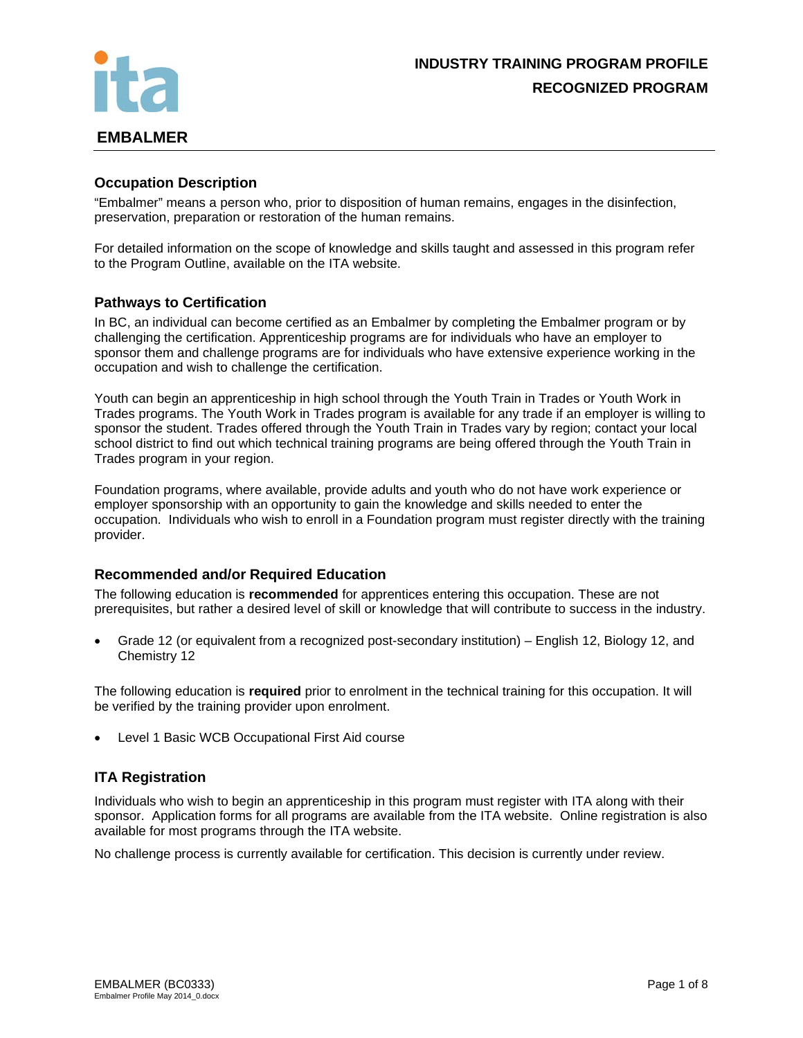

### **Occupation Description**

"Embalmer" means a person who, prior to disposition of human remains, engages in the disinfection, preservation, preparation or restoration of the human remains.

For detailed information on the scope of knowledge and skills taught and assessed in this program refer to the Program Outline, available on the ITA website.

#### **Pathways to Certification**

In BC, an individual can become certified as an Embalmer by completing the Embalmer program or by challenging the certification. Apprenticeship programs are for individuals who have an employer to sponsor them and challenge programs are for individuals who have extensive experience working in the occupation and wish to challenge the certification.

Youth can begin an apprenticeship in high school through the Youth Train in Trades or Youth Work in Trades programs. The Youth Work in Trades program is available for any trade if an employer is willing to sponsor the student. Trades offered through the Youth Train in Trades vary by region; contact your local school district to find out which technical training programs are being offered through the Youth Train in Trades program in your region.

Foundation programs, where available, provide adults and youth who do not have work experience or employer sponsorship with an opportunity to gain the knowledge and skills needed to enter the occupation. Individuals who wish to enroll in a Foundation program must register directly with the training provider.

### **Recommended and/or Required Education**

The following education is **recommended** for apprentices entering this occupation. These are not prerequisites, but rather a desired level of skill or knowledge that will contribute to success in the industry.

• Grade 12 (or equivalent from a recognized post-secondary institution) – English 12, Biology 12, and Chemistry 12

The following education is **required** prior to enrolment in the technical training for this occupation. It will be verified by the training provider upon enrolment.

Level 1 Basic WCB Occupational First Aid course

### **ITA Registration**

Individuals who wish to begin an apprenticeship in this program must register with ITA along with their sponsor. Application forms for all programs are available from the ITA website. Online registration is also available for most programs through the ITA website.

No challenge process is currently available for certification. This decision is currently under review.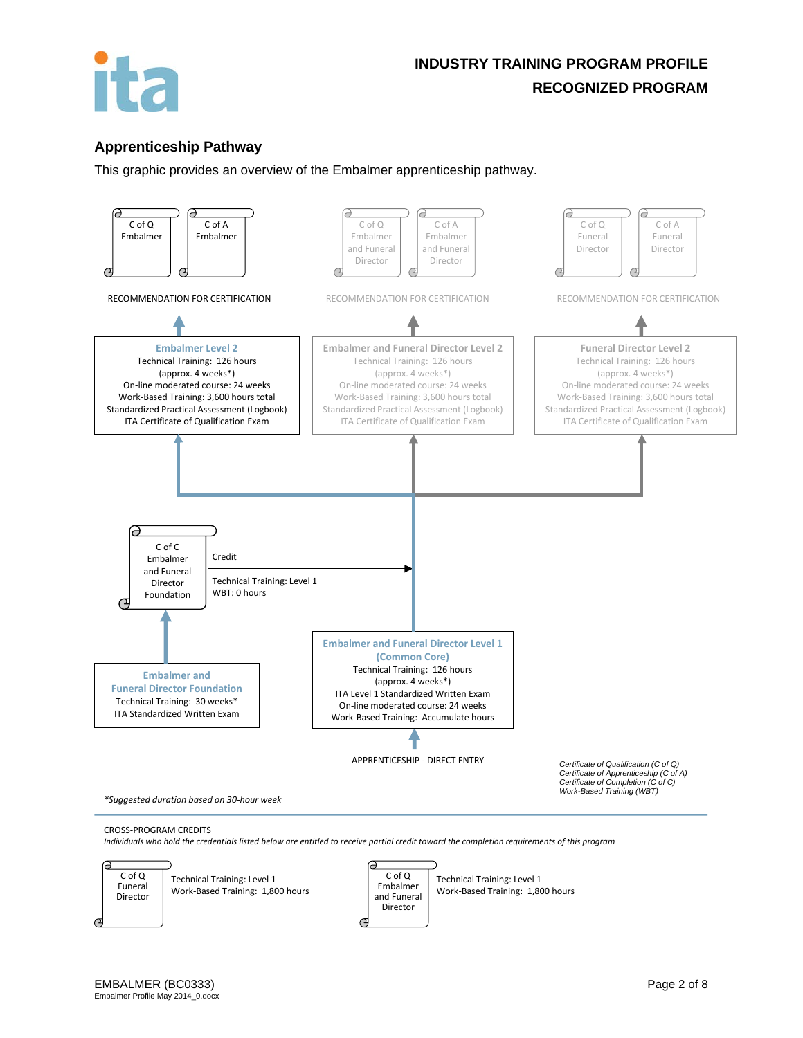

## **Apprenticeship Pathway**

This graphic provides an overview of the Embalmer apprenticeship pathway.



*Individuals who hold the credentials listed below are entitled to receive partial credit toward the completion requirements of this program*

 $\epsilon$ 



Technical Training: Level 1 Work-Based Training: 1,800 hours

C of Q Embalmer and Funeral Director

Technical Training: Level 1 Work-Based Training: 1,800 hours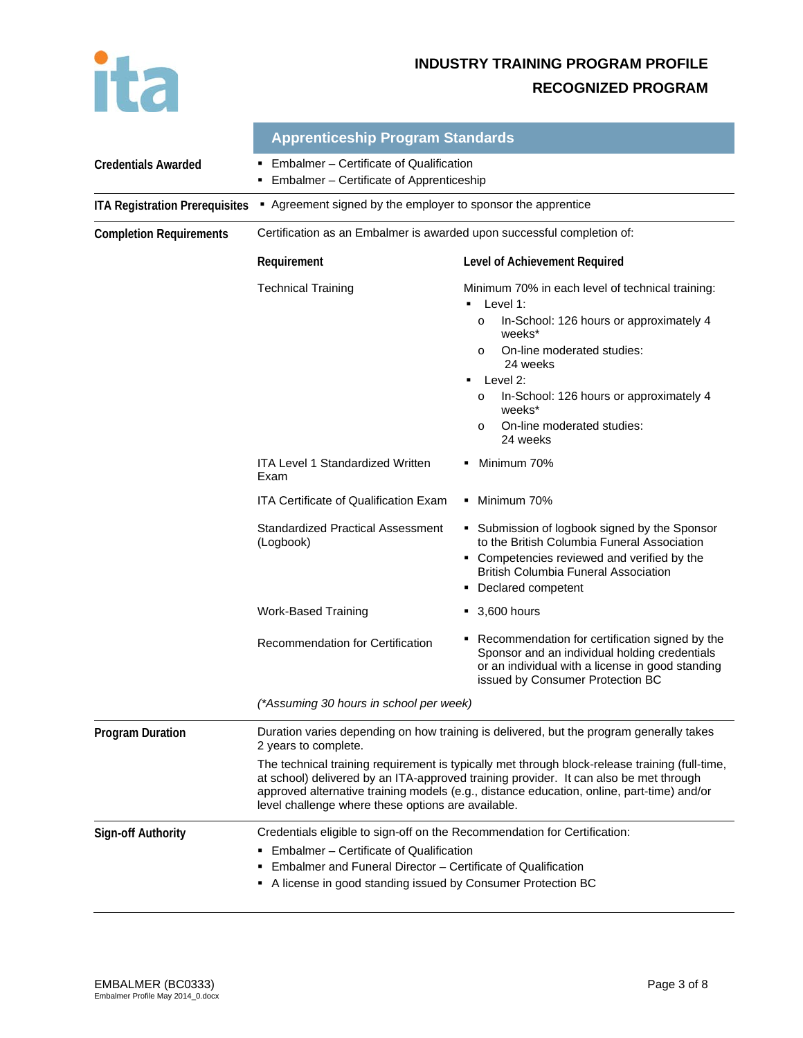

|                                       | <b>Apprenticeship Program Standards</b>                                                                                                                                                                                                                                                                                                                                                                                                                       |                                                                                                                                                                                                                                                                                                                                                                                                                                                                 |  |
|---------------------------------------|---------------------------------------------------------------------------------------------------------------------------------------------------------------------------------------------------------------------------------------------------------------------------------------------------------------------------------------------------------------------------------------------------------------------------------------------------------------|-----------------------------------------------------------------------------------------------------------------------------------------------------------------------------------------------------------------------------------------------------------------------------------------------------------------------------------------------------------------------------------------------------------------------------------------------------------------|--|
| <b>Credentials Awarded</b>            | Embalmer - Certificate of Qualification<br>Embalmer - Certificate of Apprenticeship<br>٠                                                                                                                                                                                                                                                                                                                                                                      |                                                                                                                                                                                                                                                                                                                                                                                                                                                                 |  |
| <b>ITA Registration Prerequisites</b> | Agreement signed by the employer to sponsor the apprentice                                                                                                                                                                                                                                                                                                                                                                                                    |                                                                                                                                                                                                                                                                                                                                                                                                                                                                 |  |
| <b>Completion Requirements</b>        | Certification as an Embalmer is awarded upon successful completion of:                                                                                                                                                                                                                                                                                                                                                                                        |                                                                                                                                                                                                                                                                                                                                                                                                                                                                 |  |
|                                       | Requirement                                                                                                                                                                                                                                                                                                                                                                                                                                                   | Level of Achievement Required                                                                                                                                                                                                                                                                                                                                                                                                                                   |  |
|                                       | <b>Technical Training</b><br><b>ITA Level 1 Standardized Written</b><br>Exam<br><b>ITA Certificate of Qualification Exam</b><br><b>Standardized Practical Assessment</b><br>(Logbook)                                                                                                                                                                                                                                                                         | Minimum 70% in each level of technical training:<br>Level 1:<br>٠<br>In-School: 126 hours or approximately 4<br>$\circ$<br>weeks*<br>On-line moderated studies:<br>$\circ$<br>24 weeks<br>Level 2:<br>In-School: 126 hours or approximately 4<br>$\circ$<br>weeks*<br>On-line moderated studies:<br>$\circ$<br>24 weeks<br>Minimum 70%<br>٠<br>Minimum 70%<br>٠<br>• Submission of logbook signed by the Sponsor<br>to the British Columbia Funeral Association |  |
|                                       |                                                                                                                                                                                                                                                                                                                                                                                                                                                               | • Competencies reviewed and verified by the<br><b>British Columbia Funeral Association</b><br>• Declared competent                                                                                                                                                                                                                                                                                                                                              |  |
|                                       | <b>Work-Based Training</b><br>Recommendation for Certification                                                                                                                                                                                                                                                                                                                                                                                                | $\bullet$ 3,600 hours<br>• Recommendation for certification signed by the<br>Sponsor and an individual holding credentials<br>or an individual with a license in good standing<br>issued by Consumer Protection BC                                                                                                                                                                                                                                              |  |
|                                       | (*Assuming 30 hours in school per week)                                                                                                                                                                                                                                                                                                                                                                                                                       |                                                                                                                                                                                                                                                                                                                                                                                                                                                                 |  |
| <b>Program Duration</b>               | Duration varies depending on how training is delivered, but the program generally takes<br>2 years to complete.<br>The technical training requirement is typically met through block-release training (full-time,<br>at school) delivered by an ITA-approved training provider. It can also be met through<br>approved alternative training models (e.g., distance education, online, part-time) and/or<br>level challenge where these options are available. |                                                                                                                                                                                                                                                                                                                                                                                                                                                                 |  |
| <b>Sign-off Authority</b>             | Credentials eligible to sign-off on the Recommendation for Certification:<br>Embalmer - Certificate of Qualification<br>Embalmer and Funeral Director - Certificate of Qualification<br>A license in good standing issued by Consumer Protection BC<br>٠                                                                                                                                                                                                      |                                                                                                                                                                                                                                                                                                                                                                                                                                                                 |  |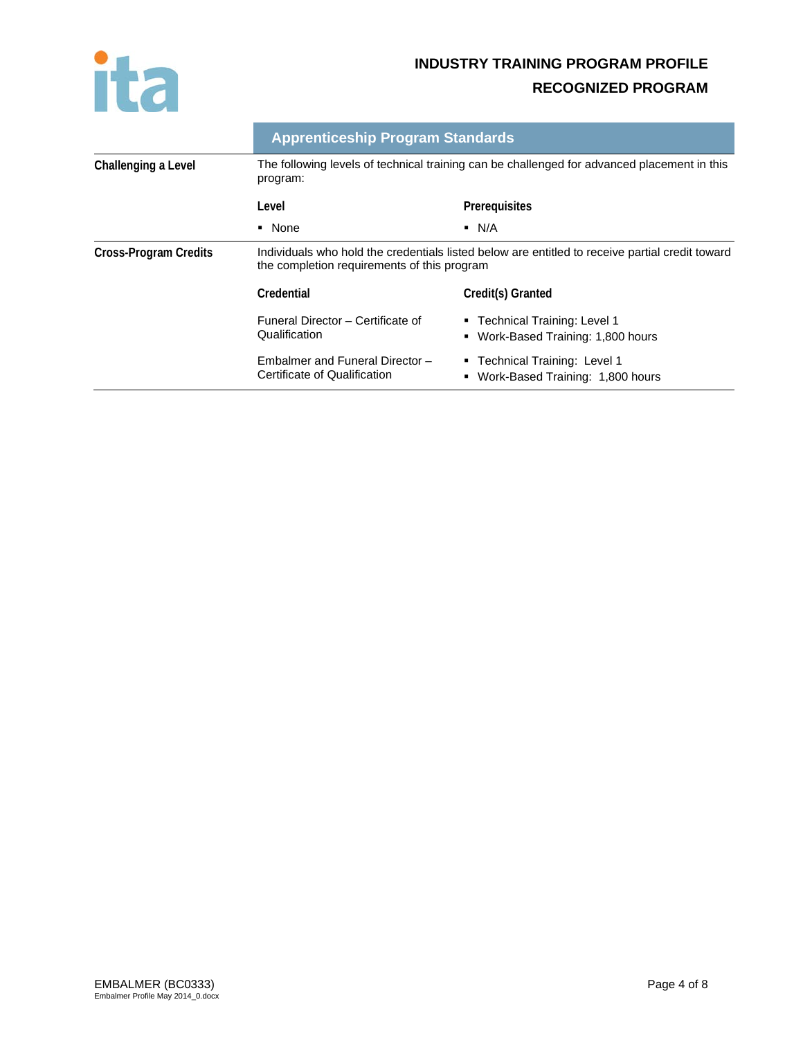

|                              | <b>Apprenticeship Program Standards</b>                                                                                                        |                                                                        |
|------------------------------|------------------------------------------------------------------------------------------------------------------------------------------------|------------------------------------------------------------------------|
| Challenging a Level          | The following levels of technical training can be challenged for advanced placement in this<br>program:                                        |                                                                        |
|                              | Level                                                                                                                                          | Prerequisites                                                          |
|                              | • None                                                                                                                                         | $\blacksquare$ N/A                                                     |
| <b>Cross-Program Credits</b> | Individuals who hold the credentials listed below are entitled to receive partial credit toward<br>the completion requirements of this program |                                                                        |
|                              | Credential                                                                                                                                     | Credit(s) Granted                                                      |
|                              | Funeral Director - Certificate of<br>Qualification                                                                                             | ■ Technical Training: Level 1<br>Work-Based Training: 1,800 hours<br>٠ |
|                              | Embalmer and Funeral Director -<br>Certificate of Qualification                                                                                | • Technical Training: Level 1<br>Work-Based Training: 1,800 hours<br>٠ |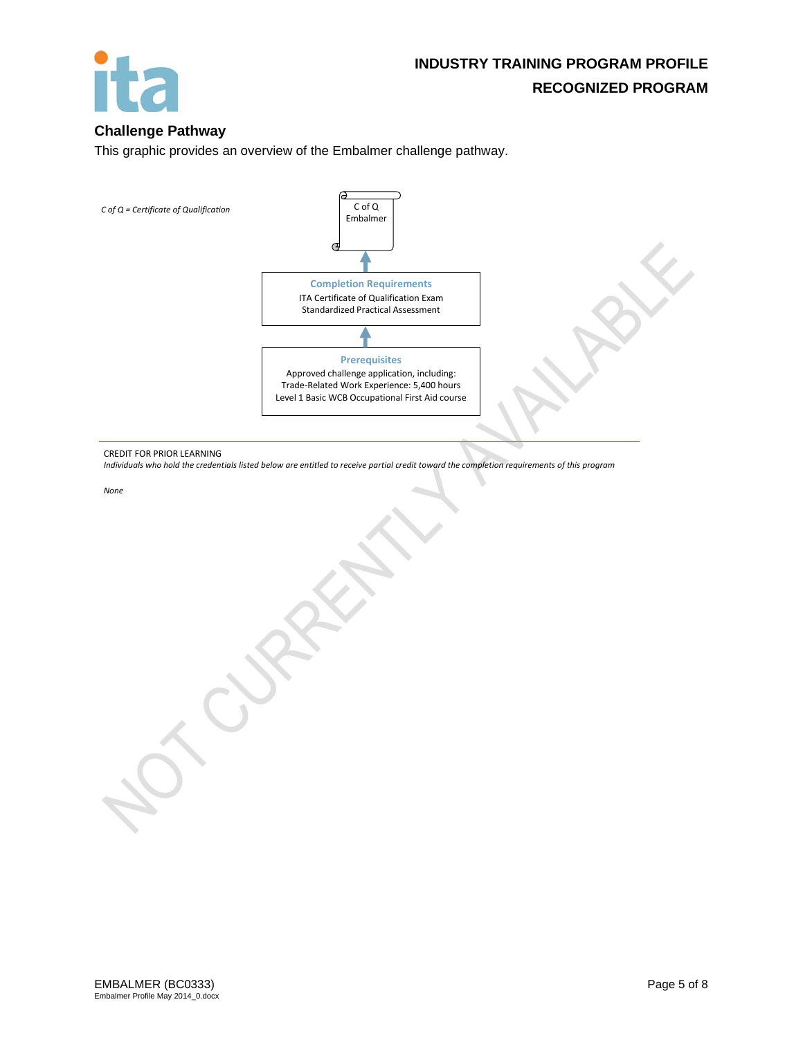

### **Challenge Pathway**

This graphic provides an overview of the Embalmer challenge pathway.

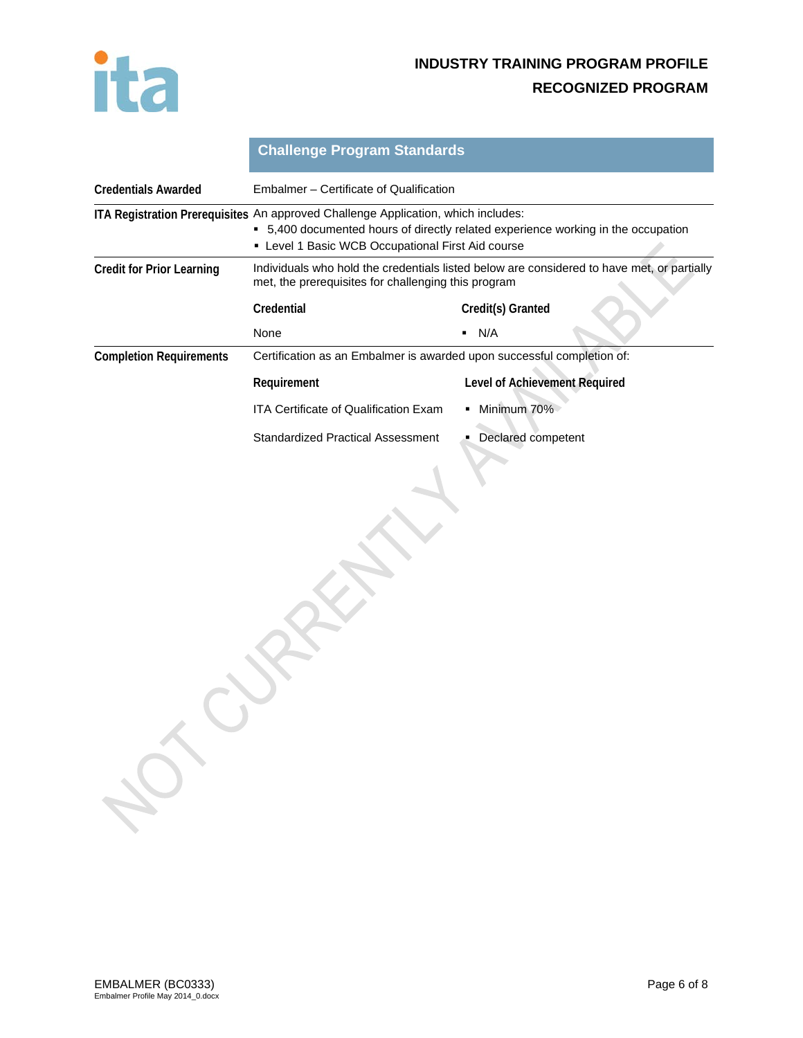

|                                  | <b>Challenge Program Standards</b>                                                                                                                                                                                          |                                      |  |
|----------------------------------|-----------------------------------------------------------------------------------------------------------------------------------------------------------------------------------------------------------------------------|--------------------------------------|--|
| <b>Credentials Awarded</b>       | Embalmer – Certificate of Qualification                                                                                                                                                                                     |                                      |  |
|                                  | ITA Registration Prerequisites An approved Challenge Application, which includes:<br>• 5,400 documented hours of directly related experience working in the occupation<br>• Level 1 Basic WCB Occupational First Aid course |                                      |  |
| <b>Credit for Prior Learning</b> | Individuals who hold the credentials listed below are considered to have met, or partially<br>met, the prerequisites for challenging this program                                                                           |                                      |  |
|                                  | Credential                                                                                                                                                                                                                  | Credit(s) Granted                    |  |
|                                  | None                                                                                                                                                                                                                        | N/A<br>٠                             |  |
| <b>Completion Requirements</b>   | Certification as an Embalmer is awarded upon successful completion of:                                                                                                                                                      |                                      |  |
|                                  | Requirement                                                                                                                                                                                                                 | <b>Level of Achievement Required</b> |  |
|                                  | <b>ITA Certificate of Qualification Exam</b>                                                                                                                                                                                | Minimum 70%                          |  |
|                                  | <b>Standardized Practical Assessment</b>                                                                                                                                                                                    | Declared competent                   |  |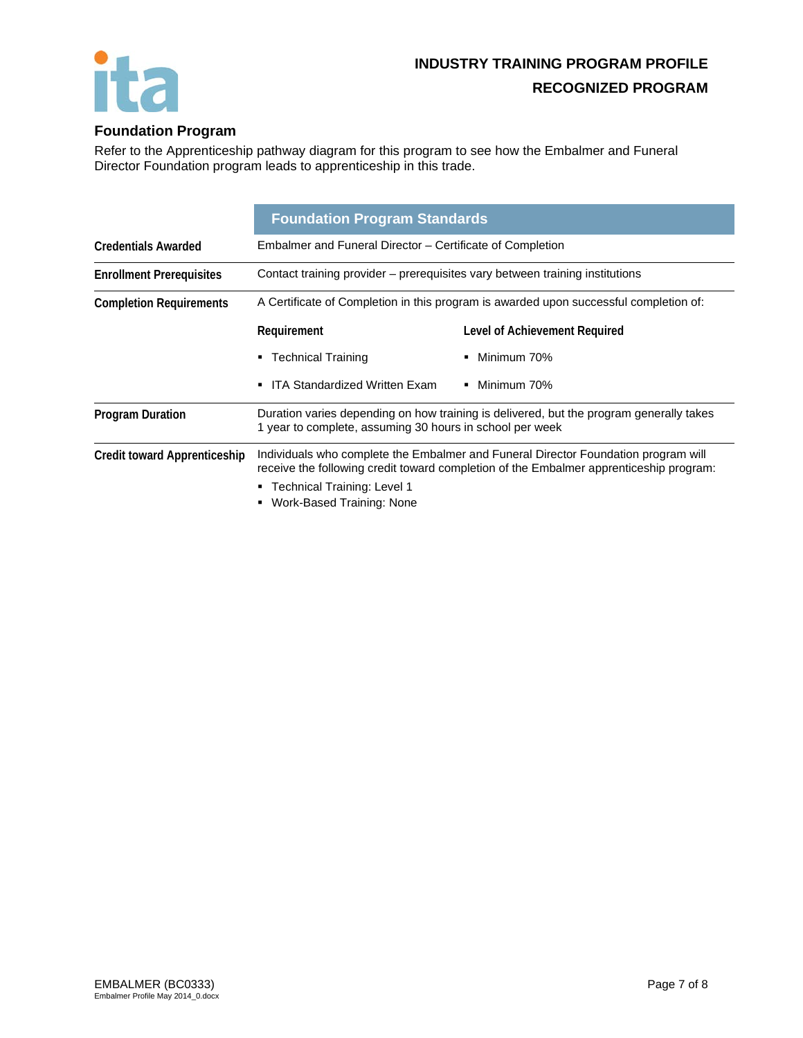

## **Foundation Program**

Refer to the Apprenticeship pathway diagram for this program to see how the Embalmer and Funeral Director Foundation program leads to apprenticeship in this trade.

|                                     | <b>Foundation Program Standards</b>                                                                                                                 |                                                                                                                                                                              |
|-------------------------------------|-----------------------------------------------------------------------------------------------------------------------------------------------------|------------------------------------------------------------------------------------------------------------------------------------------------------------------------------|
| <b>Credentials Awarded</b>          | Embalmer and Funeral Director – Certificate of Completion                                                                                           |                                                                                                                                                                              |
| <b>Enrollment Prerequisites</b>     | Contact training provider – prerequisites vary between training institutions                                                                        |                                                                                                                                                                              |
| <b>Completion Requirements</b>      | A Certificate of Completion in this program is awarded upon successful completion of:                                                               |                                                                                                                                                                              |
|                                     | Requirement                                                                                                                                         | Level of Achievement Required                                                                                                                                                |
|                                     | <b>Technical Training</b>                                                                                                                           | Minimum 70%                                                                                                                                                                  |
|                                     | <b>ITA Standardized Written Exam</b><br>$\blacksquare$                                                                                              | Minimum 70%<br>٠.                                                                                                                                                            |
| <b>Program Duration</b>             | Duration varies depending on how training is delivered, but the program generally takes<br>1 year to complete, assuming 30 hours in school per week |                                                                                                                                                                              |
| <b>Credit toward Apprenticeship</b> |                                                                                                                                                     | Individuals who complete the Embalmer and Funeral Director Foundation program will<br>receive the following credit toward completion of the Embalmer apprenticeship program: |
|                                     | Technical Training: Level 1<br>Work-Based Training: None                                                                                            |                                                                                                                                                                              |